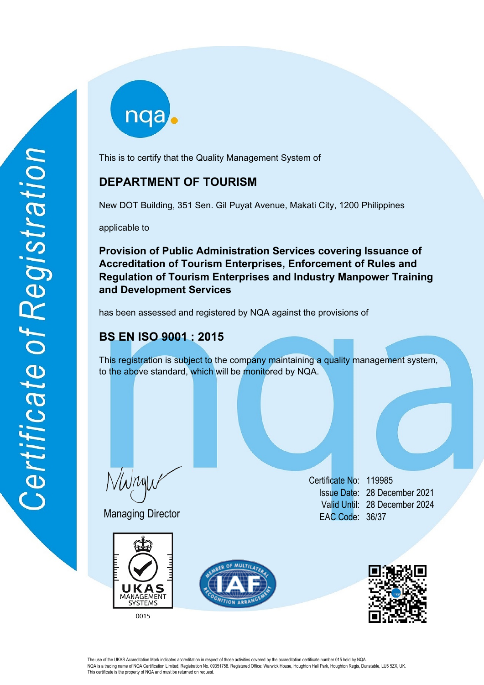This is to certify that the Quality Management System of

# **DEPARTMENT OF TOURISM**

New DOT Building, 351 Sen. Gil Puyat Avenue, Makati City, 1200 Philippines

applicable to

**Provision of Public Administration Services covering Issuance of Accreditation of Tourism Enterprises, Enforcement of Rules and Regulation of Tourism Enterprises and Industry Manpower Training and Development Services**

has been assessed and registered by NQA against the provisions of

# **BS EN ISO 9001 : 2015**

This registration is subject to the company maintaining a quality management system, to the above standard, which will be monitored by NQA.

Wryw

Managing Director





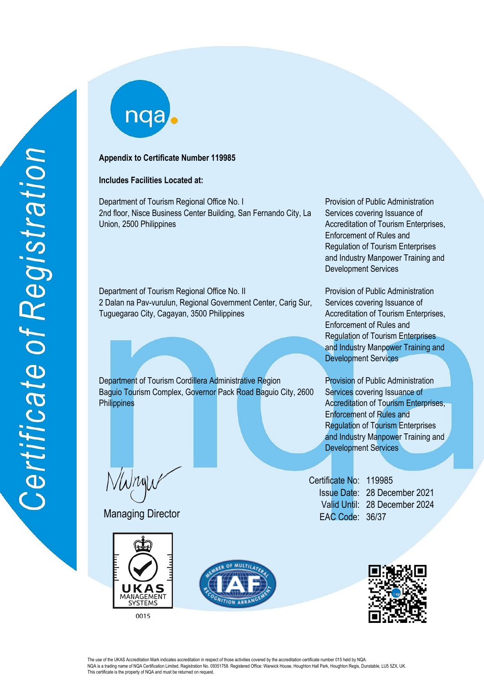nqa

## **Appendix to Certificate Number 119985**

# **Includes Facilities Located at:**

Department of Tourism Regional Office No. I Provision of Public Administration 2nd floor, Nisce Business Center Building, San Fernando City, La Union, 2500 Philippines

Department of Tourism Regional Office No. II Provision of Public Administration 2 Dalan na Pav-vurulun, Regional Government Center, Carig Sur, Tuguegarao City, Cagayan, 3500 Philippines

Department of Tourism Cordillera Administrative Region Provision of Public Administration Baguio Tourism Complex, Governor Pack Road Baguio City, 2600 **Philippines** 

VWnyw

Managing Director





Services covering Issuance of Accreditation of Tourism Enterprises, Enforcement of Rules and Regulation of Tourism Enterprises and Industry Manpower Training and Development Services

Services covering Issuance of Accreditation of Tourism Enterprises, Enforcement of Rules and Regulation of Tourism Enterprises and Industry Manpower Training and Development Services

Services covering Issuance of Accreditation of Tourism Enterprises, Enforcement of Rules and Regulation of Tourism Enterprises and Industry Manpower Training and Development Services

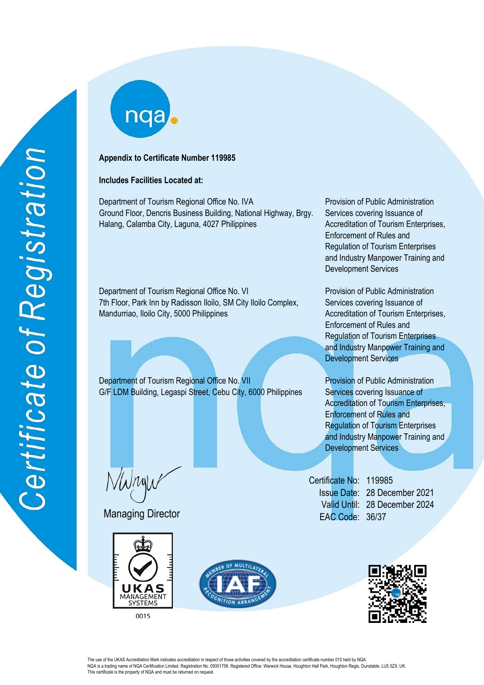# **Appendix to Certificate Number 119985**

## **Includes Facilities Located at:**

Department of Tourism Regional Office No. IVA Provision of Public Administration Ground Floor, Dencris Business Building, National Highway, Brgy. Halang, Calamba City, Laguna, 4027 Philippines

Department of Tourism Regional Office No. VI Provision of Public Administration 7th Floor, Park Inn by Radisson Iloilo, SM City Iloilo Complex, Mandurriao, Iloilo City, 5000 Philippines

Department of Tourism Regional Office No. VII Provision of Public Administration G/F LDM Building, Legaspi Street, Cebu City, 6000 Philippines

Wryw

Managing Director





Services covering Issuance of Accreditation of Tourism Enterprises, Enforcement of Rules and Regulation of Tourism Enterprises and Industry Manpower Training and Development Services

Services covering Issuance of Accreditation of Tourism Enterprises, Enforcement of Rules and Regulation of Tourism Enterprises and Industry Manpower Training and Development Services

Services covering Issuance of Accreditation of Tourism Enterprises, Enforcement of Rules and Regulation of Tourism Enterprises and Industry Manpower Training and Development Services

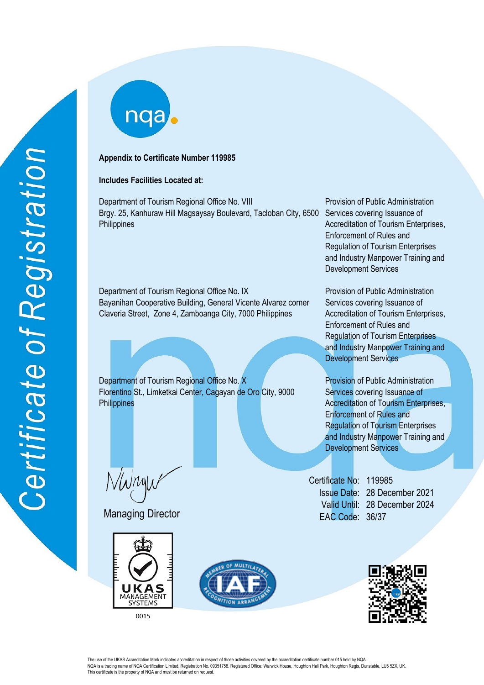# **Appendix to Certificate Number 119985**

# **Includes Facilities Located at:**

Department of Tourism Regional Office No. VIII Provision of Public Administration Brgy. 25, Kanhuraw Hill Magsaysay Boulevard, Tacloban City, 6500 Services covering Issuance of **Philippines** 

Department of Tourism Regional Office No. IX Provision of Public Administration Bayanihan Cooperative Building, General Vicente Alvarez corner Claveria Street, Zone 4, Zamboanga City, 7000 Philippines

Department of Tourism Regional Office No. X Provision of Public Administration Florentino St., Limketkai Center, Cagayan de Oro City, 9000 **Philippines** 

Wryw

Managing Director



<sup>0015</sup> 



Accreditation of Tourism Enterprises, Enforcement of Rules and Regulation of Tourism Enterprises and Industry Manpower Training and Development Services

Services covering Issuance of Accreditation of Tourism Enterprises, Enforcement of Rules and Regulation of Tourism Enterprises and Industry Manpower Training and Development Services

Services covering Issuance of Accreditation of Tourism Enterprises, Enforcement of Rules and Regulation of Tourism Enterprises and Industry Manpower Training and Development Services

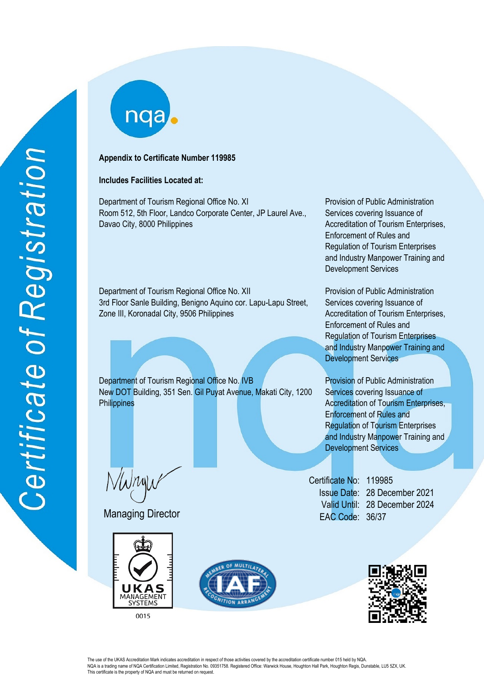## **Appendix to Certificate Number 119985**

# **Includes Facilities Located at:**

Department of Tourism Regional Office No. XI Provision of Public Administration Room 512, 5th Floor, Landco Corporate Center, JP Laurel Ave., Davao City, 8000 Philippines

Department of Tourism Regional Office No. XII Provision of Public Administration 3rd Floor Sanle Building, Benigno Aquino cor. Lapu-Lapu Street, Zone III, Koronadal City, 9506 Philippines

Department of Tourism Regional Office No. IVB Provision of Public Administration New DOT Building, 351 Sen. Gil Puyat Avenue, Makati City, 1200 **Philippines** 

Wryw

Managing Director





Services covering Issuance of Accreditation of Tourism Enterprises, Enforcement of Rules and Regulation of Tourism Enterprises and Industry Manpower Training and Development Services

Services covering Issuance of Accreditation of Tourism Enterprises, Enforcement of Rules and Regulation of Tourism Enterprises and Industry Manpower Training and Development Services

Services covering Issuance of Accreditation of Tourism Enterprises, Enforcement of Rules and Regulation of Tourism Enterprises and Industry Manpower Training and Development Services